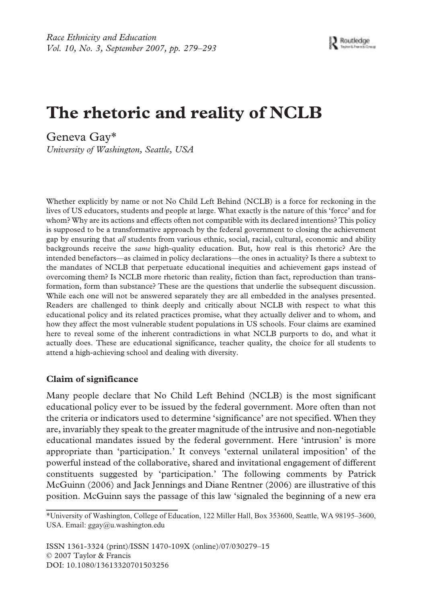# **The rhetoric and reality of NCLB**

Geneva Gay\*

*University of Washington, Seattle, USA*

Whether explicitly by name or not No Child Left Behind (NCLB) is a force for reckoning in the lives of US educators, students and people at large. What exactly is the nature of this 'force' and for whom? Why are its actions and effects often not compatible with its declared intentions? This policy is supposed to be a transformative approach by the federal government to closing the achievement gap by ensuring that *all* students from various ethnic, social, racial, cultural, economic and ability backgrounds receive the *same* high-quality education. But, how real is this rhetoric? Are the intended benefactors—as claimed in policy declarations—the ones in actuality? Is there a subtext to the mandates of NCLB that perpetuate educational inequities and achievement gaps instead of overcoming them? Is NCLB more rhetoric than reality, fiction than fact, reproduction than transformation, form than substance? These are the questions that underlie the subsequent discussion. While each one will not be answered separately they are all embedded in the analyses presented. Readers are challenged to think deeply and critically about NCLB with respect to what this educational policy and its related practices promise, what they actually deliver and to whom, and how they affect the most vulnerable student populations in US schools. Four claims are examined here to reveal some of the inherent contradictions in what NCLB purports to do, and what it actually does. These are educational significance, teacher quality, the choice for all students to attend a high-achieving school and dealing with diversity.

## **Claim of significance**

Many people declare that No Child Left Behind (NCLB) is the most significant educational policy ever to be issued by the federal government. More often than not the criteria or indicators used to determine 'significance' are not specified. When they are, invariably they speak to the greater magnitude of the intrusive and non-negotiable educational mandates issued by the federal government. Here 'intrusion' is more appropriate than 'participation.' It conveys 'external unilateral imposition' of the powerful instead of the collaborative, shared and invitational engagement of different constituents suggested by 'participation.' The following comments by Patrick McGuinn (2006) and Jack Jennings and Diane Rentner (2006) are illustrative of this position. McGuinn says the passage of this law 'signaled the beginning of a new era

ISSN 1361-3324 (print)/ISSN 1470-109X (online)/07/030279–15 © 2007 Taylor & Francis DOI: 10.1080/13613320701503256

<sup>\*</sup>University of Washington, College of Education, 122 Miller Hall, Box 353600, Seattle, WA 98195–3600, USA. Email: ggay@u.washington.edu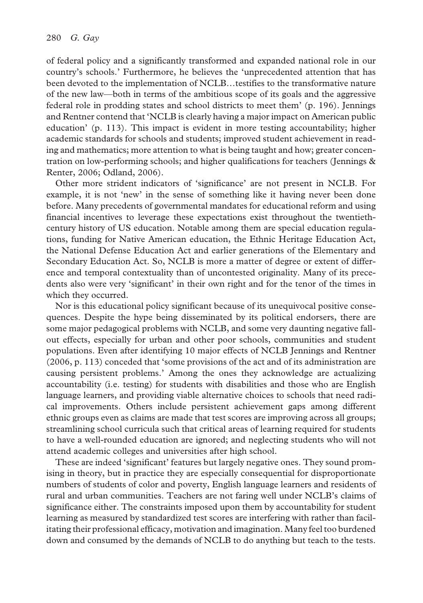of federal policy and a significantly transformed and expanded national role in our country's schools.' Furthermore, he believes the 'unprecedented attention that has been devoted to the implementation of NCLB…testifies to the transformative nature of the new law—both in terms of the ambitious scope of its goals and the aggressive federal role in prodding states and school districts to meet them' (p. 196). Jennings and Rentner contend that 'NCLB is clearly having a major impact on American public education' (p. 113). This impact is evident in more testing accountability; higher academic standards for schools and students; improved student achievement in reading and mathematics; more attention to what is being taught and how; greater concentration on low-performing schools; and higher qualifications for teachers (Jennings & Renter, 2006; Odland, 2006).

Other more strident indicators of 'significance' are not present in NCLB. For example, it is not 'new' in the sense of something like it having never been done before. Many precedents of governmental mandates for educational reform and using financial incentives to leverage these expectations exist throughout the twentiethcentury history of US education. Notable among them are special education regulations, funding for Native American education, the Ethnic Heritage Education Act, the National Defense Education Act and earlier generations of the Elementary and Secondary Education Act. So, NCLB is more a matter of degree or extent of difference and temporal contextuality than of uncontested originality. Many of its precedents also were very 'significant' in their own right and for the tenor of the times in which they occurred.

Nor is this educational policy significant because of its unequivocal positive consequences. Despite the hype being disseminated by its political endorsers, there are some major pedagogical problems with NCLB, and some very daunting negative fallout effects, especially for urban and other poor schools, communities and student populations. Even after identifying 10 major effects of NCLB Jennings and Rentner (2006, p. 113) conceded that 'some provisions of the act and of its administration are causing persistent problems.' Among the ones they acknowledge are actualizing accountability (i.e. testing) for students with disabilities and those who are English language learners, and providing viable alternative choices to schools that need radical improvements. Others include persistent achievement gaps among different ethnic groups even as claims are made that test scores are improving across all groups; streamlining school curricula such that critical areas of learning required for students to have a well-rounded education are ignored; and neglecting students who will not attend academic colleges and universities after high school.

These are indeed 'significant' features but largely negative ones. They sound promising in theory, but in practice they are especially consequential for disproportionate numbers of students of color and poverty, English language learners and residents of rural and urban communities. Teachers are not faring well under NCLB's claims of significance either. The constraints imposed upon them by accountability for student learning as measured by standardized test scores are interfering with rather than facilitating their professional efficacy, motivation and imagination. Many feel too burdened down and consumed by the demands of NCLB to do anything but teach to the tests.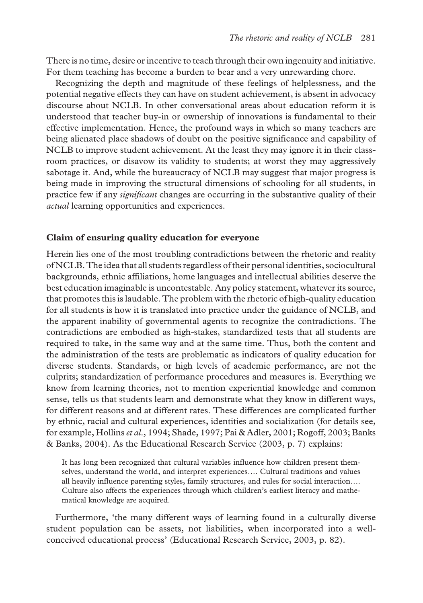There is no time, desire or incentive to teach through their own ingenuity and initiative. For them teaching has become a burden to bear and a very unrewarding chore.

Recognizing the depth and magnitude of these feelings of helplessness, and the potential negative effects they can have on student achievement, is absent in advocacy discourse about NCLB. In other conversational areas about education reform it is understood that teacher buy-in or ownership of innovations is fundamental to their effective implementation. Hence, the profound ways in which so many teachers are being alienated place shadows of doubt on the positive significance and capability of NCLB to improve student achievement. At the least they may ignore it in their classroom practices, or disavow its validity to students; at worst they may aggressively sabotage it. And, while the bureaucracy of NCLB may suggest that major progress is being made in improving the structural dimensions of schooling for all students, in practice few if any *significant* changes are occurring in the substantive quality of their *actual* learning opportunities and experiences.

#### **Claim of ensuring quality education for everyone**

Herein lies one of the most troubling contradictions between the rhetoric and reality of NCLB. The idea that all students regardless of their personal identities, sociocultural backgrounds, ethnic affiliations, home languages and intellectual abilities deserve the best education imaginable is uncontestable. Any policy statement, whatever its source, that promotes this is laudable. The problem with the rhetoric of high-quality education for all students is how it is translated into practice under the guidance of NCLB, and the apparent inability of governmental agents to recognize the contradictions. The contradictions are embodied as high-stakes, standardized tests that all students are required to take, in the same way and at the same time. Thus, both the content and the administration of the tests are problematic as indicators of quality education for diverse students. Standards, or high levels of academic performance, are not the culprits; standardization of performance procedures and measures is. Everything we know from learning theories, not to mention experiential knowledge and common sense, tells us that students learn and demonstrate what they know in different ways, for different reasons and at different rates. These differences are complicated further by ethnic, racial and cultural experiences, identities and socialization (for details see, for example, Hollins *et al*., 1994; Shade, 1997; Pai & Adler, 2001; Rogoff, 2003; Banks & Banks, 2004). As the Educational Research Service (2003, p. 7) explains:

It has long been recognized that cultural variables influence how children present themselves, understand the world, and interpret experiences…. Cultural traditions and values all heavily influence parenting styles, family structures, and rules for social interaction…. Culture also affects the experiences through which children's earliest literacy and mathematical knowledge are acquired.

Furthermore, 'the many different ways of learning found in a culturally diverse student population can be assets, not liabilities, when incorporated into a wellconceived educational process' (Educational Research Service, 2003, p. 82).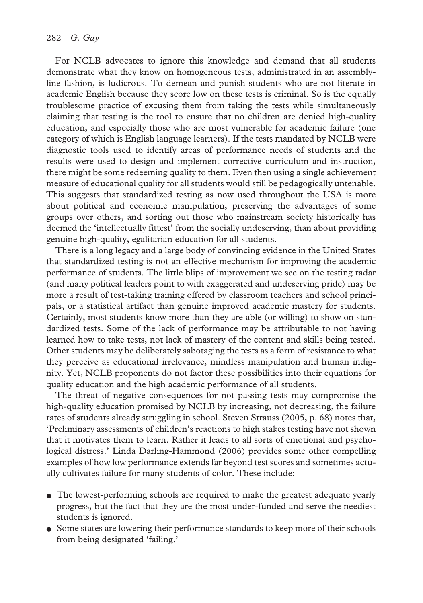For NCLB advocates to ignore this knowledge and demand that all students demonstrate what they know on homogeneous tests, administrated in an assemblyline fashion, is ludicrous. To demean and punish students who are not literate in academic English because they score low on these tests is criminal. So is the equally troublesome practice of excusing them from taking the tests while simultaneously claiming that testing is the tool to ensure that no children are denied high-quality education, and especially those who are most vulnerable for academic failure (one category of which is English language learners). If the tests mandated by NCLB were diagnostic tools used to identify areas of performance needs of students and the results were used to design and implement corrective curriculum and instruction, there might be some redeeming quality to them. Even then using a single achievement measure of educational quality for all students would still be pedagogically untenable. This suggests that standardized testing as now used throughout the USA is more about political and economic manipulation, preserving the advantages of some groups over others, and sorting out those who mainstream society historically has deemed the 'intellectually fittest' from the socially undeserving, than about providing genuine high-quality, egalitarian education for all students.

There is a long legacy and a large body of convincing evidence in the United States that standardized testing is not an effective mechanism for improving the academic performance of students. The little blips of improvement we see on the testing radar (and many political leaders point to with exaggerated and undeserving pride) may be more a result of test-taking training offered by classroom teachers and school principals, or a statistical artifact than genuine improved academic mastery for students. Certainly, most students know more than they are able (or willing) to show on standardized tests. Some of the lack of performance may be attributable to not having learned how to take tests, not lack of mastery of the content and skills being tested. Other students may be deliberately sabotaging the tests as a form of resistance to what they perceive as educational irrelevance, mindless manipulation and human indignity. Yet, NCLB proponents do not factor these possibilities into their equations for quality education and the high academic performance of all students.

The threat of negative consequences for not passing tests may compromise the high-quality education promised by NCLB by increasing, not decreasing, the failure rates of students already struggling in school. Steven Strauss (2005, p. 68) notes that, 'Preliminary assessments of children's reactions to high stakes testing have not shown that it motivates them to learn. Rather it leads to all sorts of emotional and psychological distress.' Linda Darling-Hammond (2006) provides some other compelling examples of how low performance extends far beyond test scores and sometimes actually cultivates failure for many students of color. These include:

- The lowest-performing schools are required to make the greatest adequate yearly progress, but the fact that they are the most under-funded and serve the neediest students is ignored.
- Some states are lowering their performance standards to keep more of their schools from being designated 'failing.'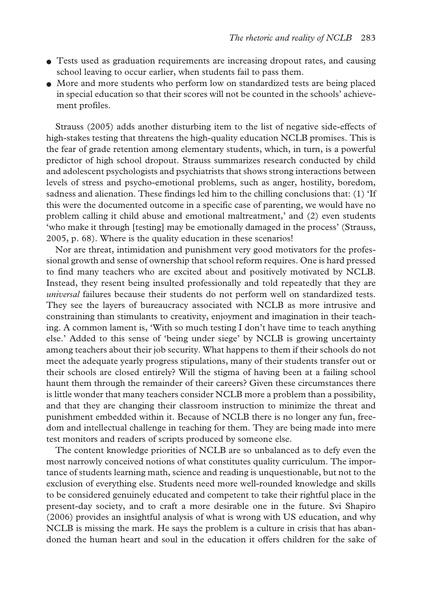- Tests used as graduation requirements are increasing dropout rates, and causing school leaving to occur earlier, when students fail to pass them.
- More and more students who perform low on standardized tests are being placed in special education so that their scores will not be counted in the schools' achievement profiles.

Strauss (2005) adds another disturbing item to the list of negative side-effects of high-stakes testing that threatens the high-quality education NCLB promises. This is the fear of grade retention among elementary students, which, in turn, is a powerful predictor of high school dropout. Strauss summarizes research conducted by child and adolescent psychologists and psychiatrists that shows strong interactions between levels of stress and psycho-emotional problems, such as anger, hostility, boredom, sadness and alienation. These findings led him to the chilling conclusions that: (1) 'If this were the documented outcome in a specific case of parenting, we would have no problem calling it child abuse and emotional maltreatment,' and (2) even students 'who make it through [testing] may be emotionally damaged in the process' (Strauss, 2005, p. 68). Where is the quality education in these scenarios!

Nor are threat, intimidation and punishment very good motivators for the professional growth and sense of ownership that school reform requires. One is hard pressed to find many teachers who are excited about and positively motivated by NCLB. Instead, they resent being insulted professionally and told repeatedly that they are *universal* failures because their students do not perform well on standardized tests. They see the layers of bureaucracy associated with NCLB as more intrusive and constraining than stimulants to creativity, enjoyment and imagination in their teaching. A common lament is, 'With so much testing I don't have time to teach anything else.' Added to this sense of 'being under siege' by NCLB is growing uncertainty among teachers about their job security. What happens to them if their schools do not meet the adequate yearly progress stipulations, many of their students transfer out or their schools are closed entirely? Will the stigma of having been at a failing school haunt them through the remainder of their careers? Given these circumstances there is little wonder that many teachers consider NCLB more a problem than a possibility, and that they are changing their classroom instruction to minimize the threat and punishment embedded within it. Because of NCLB there is no longer any fun, freedom and intellectual challenge in teaching for them. They are being made into mere test monitors and readers of scripts produced by someone else.

The content knowledge priorities of NCLB are so unbalanced as to defy even the most narrowly conceived notions of what constitutes quality curriculum. The importance of students learning math, science and reading is unquestionable, but not to the exclusion of everything else. Students need more well-rounded knowledge and skills to be considered genuinely educated and competent to take their rightful place in the present-day society, and to craft a more desirable one in the future. Svi Shapiro (2006) provides an insightful analysis of what is wrong with US education, and why NCLB is missing the mark. He says the problem is a culture in crisis that has abandoned the human heart and soul in the education it offers children for the sake of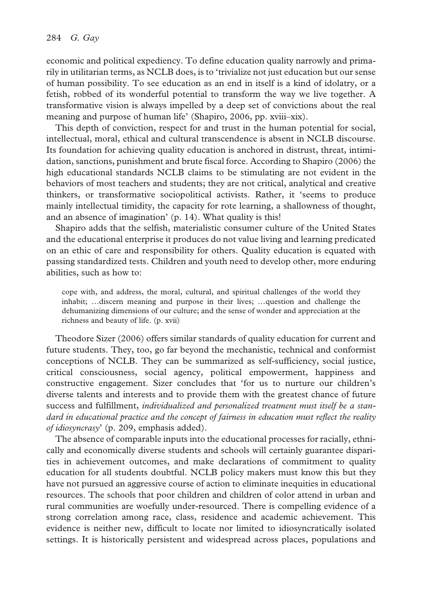economic and political expediency. To define education quality narrowly and primarily in utilitarian terms, as NCLB does, is to 'trivialize not just education but our sense of human possibility. To see education as an end in itself is a kind of idolatry, or a fetish, robbed of its wonderful potential to transform the way we live together. A transformative vision is always impelled by a deep set of convictions about the real meaning and purpose of human life' (Shapiro, 2006, pp. xviii–xix).

This depth of conviction, respect for and trust in the human potential for social, intellectual, moral, ethical and cultural transcendence is absent in NCLB discourse. Its foundation for achieving quality education is anchored in distrust, threat, intimidation, sanctions, punishment and brute fiscal force. According to Shapiro (2006) the high educational standards NCLB claims to be stimulating are not evident in the behaviors of most teachers and students; they are not critical, analytical and creative thinkers, or transformative sociopolitical activists. Rather, it 'seems to produce mainly intellectual timidity, the capacity for rote learning, a shallowness of thought, and an absence of imagination' (p. 14). What quality is this!

Shapiro adds that the selfish, materialistic consumer culture of the United States and the educational enterprise it produces do not value living and learning predicated on an ethic of care and responsibility for others. Quality education is equated with passing standardized tests. Children and youth need to develop other, more enduring abilities, such as how to:

cope with, and address, the moral, cultural, and spiritual challenges of the world they inhabit; …discern meaning and purpose in their lives; …question and challenge the dehumanizing dimensions of our culture; and the sense of wonder and appreciation at the richness and beauty of life. (p. xvii)

Theodore Sizer (2006) offers similar standards of quality education for current and future students. They, too, go far beyond the mechanistic, technical and conformist conceptions of NCLB. They can be summarized as self-sufficiency, social justice, critical consciousness, social agency, political empowerment, happiness and constructive engagement. Sizer concludes that 'for us to nurture our children's diverse talents and interests and to provide them with the greatest chance of future success and fulfillment, *individualized and personalized treatment must itself be a standard in educational practice and the concept of fairness in education must reflect the reality of idiosyncrasy*' (p. 209, emphasis added).

The absence of comparable inputs into the educational processes for racially, ethnically and economically diverse students and schools will certainly guarantee disparities in achievement outcomes, and make declarations of commitment to quality education for all students doubtful. NCLB policy makers must know this but they have not pursued an aggressive course of action to eliminate inequities in educational resources. The schools that poor children and children of color attend in urban and rural communities are woefully under-resourced. There is compelling evidence of a strong correlation among race, class, residence and academic achievement. This evidence is neither new, difficult to locate nor limited to idiosyncratically isolated settings. It is historically persistent and widespread across places, populations and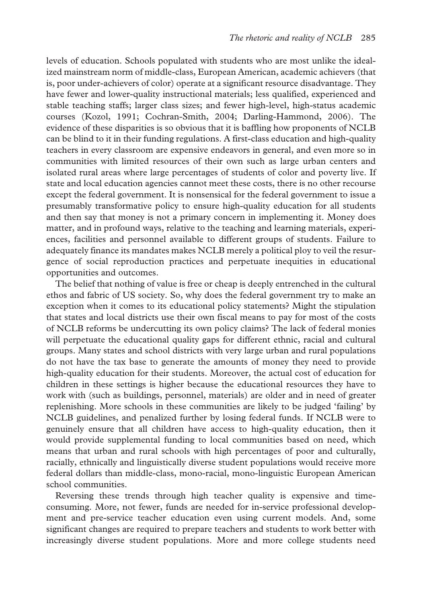levels of education. Schools populated with students who are most unlike the idealized mainstream norm of middle-class, European American, academic achievers (that is, poor under-achievers of color) operate at a significant resource disadvantage. They have fewer and lower-quality instructional materials; less qualified, experienced and stable teaching staffs; larger class sizes; and fewer high-level, high-status academic courses (Kozol, 1991; Cochran-Smith, 2004; Darling-Hammond, 2006). The evidence of these disparities is so obvious that it is baffling how proponents of NCLB can be blind to it in their funding regulations. A first-class education and high-quality teachers in every classroom are expensive endeavors in general, and even more so in communities with limited resources of their own such as large urban centers and isolated rural areas where large percentages of students of color and poverty live. If state and local education agencies cannot meet these costs, there is no other recourse except the federal government. It is nonsensical for the federal government to issue a presumably transformative policy to ensure high-quality education for all students and then say that money is not a primary concern in implementing it. Money does matter, and in profound ways, relative to the teaching and learning materials, experiences, facilities and personnel available to different groups of students. Failure to adequately finance its mandates makes NCLB merely a political ploy to veil the resurgence of social reproduction practices and perpetuate inequities in educational opportunities and outcomes.

The belief that nothing of value is free or cheap is deeply entrenched in the cultural ethos and fabric of US society. So, why does the federal government try to make an exception when it comes to its educational policy statements? Might the stipulation that states and local districts use their own fiscal means to pay for most of the costs of NCLB reforms be undercutting its own policy claims? The lack of federal monies will perpetuate the educational quality gaps for different ethnic, racial and cultural groups. Many states and school districts with very large urban and rural populations do not have the tax base to generate the amounts of money they need to provide high-quality education for their students. Moreover, the actual cost of education for children in these settings is higher because the educational resources they have to work with (such as buildings, personnel, materials) are older and in need of greater replenishing. More schools in these communities are likely to be judged 'failing' by NCLB guidelines, and penalized further by losing federal funds. If NCLB were to genuinely ensure that all children have access to high-quality education, then it would provide supplemental funding to local communities based on need, which means that urban and rural schools with high percentages of poor and culturally, racially, ethnically and linguistically diverse student populations would receive more federal dollars than middle-class, mono-racial, mono-linguistic European American school communities.

Reversing these trends through high teacher quality is expensive and timeconsuming. More, not fewer, funds are needed for in-service professional development and pre-service teacher education even using current models. And, some significant changes are required to prepare teachers and students to work better with increasingly diverse student populations. More and more college students need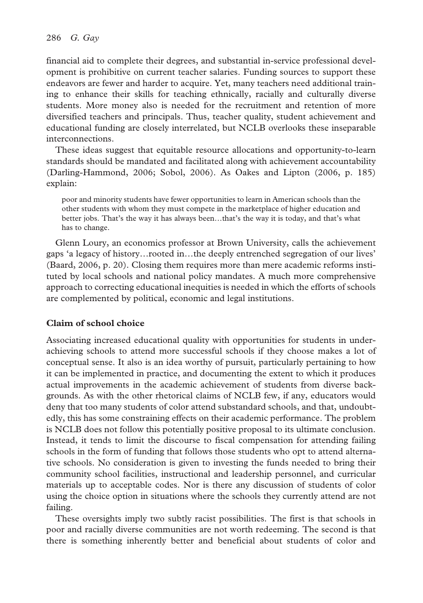financial aid to complete their degrees, and substantial in-service professional development is prohibitive on current teacher salaries. Funding sources to support these endeavors are fewer and harder to acquire. Yet, many teachers need additional training to enhance their skills for teaching ethnically, racially and culturally diverse students. More money also is needed for the recruitment and retention of more diversified teachers and principals. Thus, teacher quality, student achievement and educational funding are closely interrelated, but NCLB overlooks these inseparable interconnections.

These ideas suggest that equitable resource allocations and opportunity-to-learn standards should be mandated and facilitated along with achievement accountability (Darling-Hammond, 2006; Sobol, 2006). As Oakes and Lipton (2006, p. 185) explain:

poor and minority students have fewer opportunities to learn in American schools than the other students with whom they must compete in the marketplace of higher education and better jobs. That's the way it has always been…that's the way it is today, and that's what has to change.

Glenn Loury, an economics professor at Brown University, calls the achievement gaps 'a legacy of history…rooted in…the deeply entrenched segregation of our lives' (Baard, 2006, p. 20). Closing them requires more than mere academic reforms instituted by local schools and national policy mandates. A much more comprehensive approach to correcting educational inequities is needed in which the efforts of schools are complemented by political, economic and legal institutions.

## **Claim of school choice**

Associating increased educational quality with opportunities for students in underachieving schools to attend more successful schools if they choose makes a lot of conceptual sense. It also is an idea worthy of pursuit, particularly pertaining to how it can be implemented in practice, and documenting the extent to which it produces actual improvements in the academic achievement of students from diverse backgrounds. As with the other rhetorical claims of NCLB few, if any, educators would deny that too many students of color attend substandard schools, and that, undoubtedly, this has some constraining effects on their academic performance. The problem is NCLB does not follow this potentially positive proposal to its ultimate conclusion. Instead, it tends to limit the discourse to fiscal compensation for attending failing schools in the form of funding that follows those students who opt to attend alternative schools. No consideration is given to investing the funds needed to bring their community school facilities, instructional and leadership personnel, and curricular materials up to acceptable codes. Nor is there any discussion of students of color using the choice option in situations where the schools they currently attend are not failing.

These oversights imply two subtly racist possibilities. The first is that schools in poor and racially diverse communities are not worth redeeming. The second is that there is something inherently better and beneficial about students of color and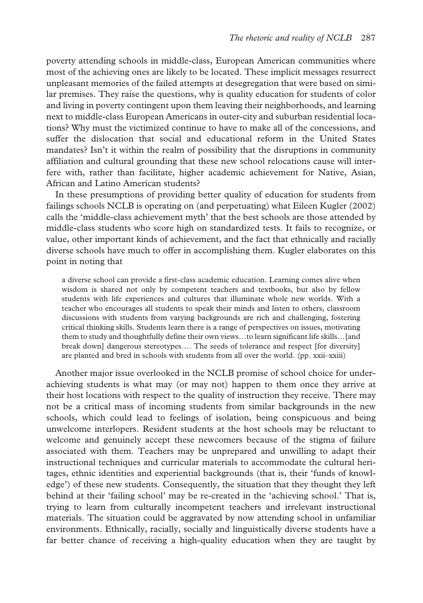poverty attending schools in middle-class, European American communities where most of the achieving ones are likely to be located. These implicit messages resurrect unpleasant memories of the failed attempts at desegregation that were based on similar premises. They raise the questions, why is quality education for students of color and living in poverty contingent upon them leaving their neighborhoods, and learning next to middle-class European Americans in outer-city and suburban residential locations? Why must the victimized continue to have to make all of the concessions, and suffer the dislocation that social and educational reform in the United States mandates? Isn't it within the realm of possibility that the disruptions in community affiliation and cultural grounding that these new school relocations cause will interfere with, rather than facilitate, higher academic achievement for Native, Asian, African and Latino American students?

In these presumptions of providing better quality of education for students from failings schools NCLB is operating on (and perpetuating) what Eileen Kugler (2002) calls the 'middle-class achievement myth' that the best schools are those attended by middle-class students who score high on standardized tests. It fails to recognize, or value, other important kinds of achievement, and the fact that ethnically and racially diverse schools have much to offer in accomplishing them. Kugler elaborates on this point in noting that

a diverse school can provide a first-class academic education. Learning comes alive when wisdom is shared not only by competent teachers and textbooks, but also by fellow students with life experiences and cultures that illuminate whole new worlds. With a teacher who encourages all students to speak their minds and listen to others, classroom discussions with students from varying backgrounds are rich and challenging, fostering critical thinking skills. Students learn there is a range of perspectives on issues, motivating them to study and thoughtfully define their own views…to learn significant life skills…[and break down] dangerous stereotypes…. The seeds of tolerance and respect [for diversity] are planted and bred in schools with students from all over the world. (pp. xxii–xxiii)

Another major issue overlooked in the NCLB promise of school choice for underachieving students is what may (or may not) happen to them once they arrive at their host locations with respect to the quality of instruction they receive. There may not be a critical mass of incoming students from similar backgrounds in the new schools, which could lead to feelings of isolation, being conspicuous and being unwelcome interlopers. Resident students at the host schools may be reluctant to welcome and genuinely accept these newcomers because of the stigma of failure associated with them. Teachers may be unprepared and unwilling to adapt their instructional techniques and curricular materials to accommodate the cultural heritages, ethnic identities and experiential backgrounds (that is, their 'funds of knowledge') of these new students. Consequently, the situation that they thought they left behind at their 'failing school' may be re-created in the 'achieving school.' That is, trying to learn from culturally incompetent teachers and irrelevant instructional materials. The situation could be aggravated by now attending school in unfamiliar environments. Ethnically, racially, socially and linguistically diverse students have a far better chance of receiving a high-quality education when they are taught by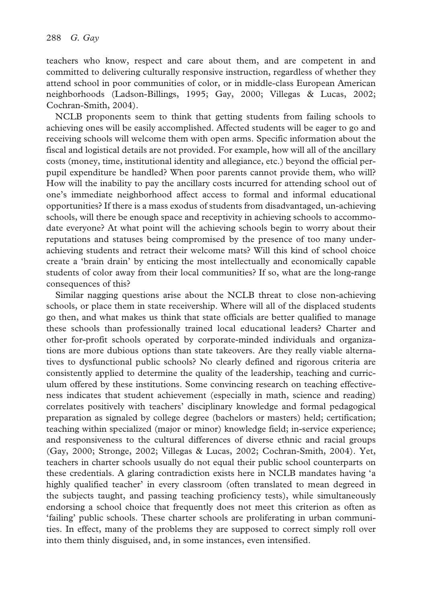teachers who know, respect and care about them, and are competent in and committed to delivering culturally responsive instruction, regardless of whether they attend school in poor communities of color, or in middle-class European American neighborhoods (Ladson-Billings, 1995; Gay, 2000; Villegas & Lucas, 2002; Cochran-Smith, 2004).

NCLB proponents seem to think that getting students from failing schools to achieving ones will be easily accomplished. Affected students will be eager to go and receiving schools will welcome them with open arms. Specific information about the fiscal and logistical details are not provided. For example, how will all of the ancillary costs (money, time, institutional identity and allegiance, etc.) beyond the official perpupil expenditure be handled? When poor parents cannot provide them, who will? How will the inability to pay the ancillary costs incurred for attending school out of one's immediate neighborhood affect access to formal and informal educational opportunities? If there is a mass exodus of students from disadvantaged, un-achieving schools, will there be enough space and receptivity in achieving schools to accommodate everyone? At what point will the achieving schools begin to worry about their reputations and statuses being compromised by the presence of too many underachieving students and retract their welcome mats? Will this kind of school choice create a 'brain drain' by enticing the most intellectually and economically capable students of color away from their local communities? If so, what are the long-range consequences of this?

Similar nagging questions arise about the NCLB threat to close non-achieving schools, or place them in state receivership. Where will all of the displaced students go then, and what makes us think that state officials are better qualified to manage these schools than professionally trained local educational leaders? Charter and other for-profit schools operated by corporate-minded individuals and organizations are more dubious options than state takeovers. Are they really viable alternatives to dysfunctional public schools? No clearly defined and rigorous criteria are consistently applied to determine the quality of the leadership, teaching and curriculum offered by these institutions. Some convincing research on teaching effectiveness indicates that student achievement (especially in math, science and reading) correlates positively with teachers' disciplinary knowledge and formal pedagogical preparation as signaled by college degree (bachelors or masters) held; certification; teaching within specialized (major or minor) knowledge field; in-service experience; and responsiveness to the cultural differences of diverse ethnic and racial groups (Gay, 2000; Stronge, 2002; Villegas & Lucas, 2002; Cochran-Smith, 2004). Yet, teachers in charter schools usually do not equal their public school counterparts on these credentials. A glaring contradiction exists here in NCLB mandates having 'a highly qualified teacher' in every classroom (often translated to mean degreed in the subjects taught, and passing teaching proficiency tests), while simultaneously endorsing a school choice that frequently does not meet this criterion as often as 'failing' public schools. These charter schools are proliferating in urban communities. In effect, many of the problems they are supposed to correct simply roll over into them thinly disguised, and, in some instances, even intensified.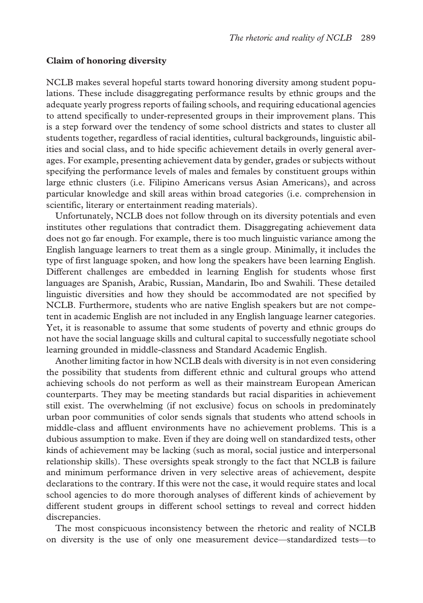#### **Claim of honoring diversity**

NCLB makes several hopeful starts toward honoring diversity among student populations. These include disaggregating performance results by ethnic groups and the adequate yearly progress reports of failing schools, and requiring educational agencies to attend specifically to under-represented groups in their improvement plans. This is a step forward over the tendency of some school districts and states to cluster all students together, regardless of racial identities, cultural backgrounds, linguistic abilities and social class, and to hide specific achievement details in overly general averages. For example, presenting achievement data by gender, grades or subjects without specifying the performance levels of males and females by constituent groups within large ethnic clusters (i.e. Filipino Americans versus Asian Americans), and across particular knowledge and skill areas within broad categories (i.e. comprehension in scientific, literary or entertainment reading materials).

Unfortunately, NCLB does not follow through on its diversity potentials and even institutes other regulations that contradict them. Disaggregating achievement data does not go far enough. For example, there is too much linguistic variance among the English language learners to treat them as a single group. Minimally, it includes the type of first language spoken, and how long the speakers have been learning English. Different challenges are embedded in learning English for students whose first languages are Spanish, Arabic, Russian, Mandarin, Ibo and Swahili. These detailed linguistic diversities and how they should be accommodated are not specified by NCLB. Furthermore, students who are native English speakers but are not competent in academic English are not included in any English language learner categories. Yet, it is reasonable to assume that some students of poverty and ethnic groups do not have the social language skills and cultural capital to successfully negotiate school learning grounded in middle-classness and Standard Academic English.

Another limiting factor in how NCLB deals with diversity is in not even considering the possibility that students from different ethnic and cultural groups who attend achieving schools do not perform as well as their mainstream European American counterparts. They may be meeting standards but racial disparities in achievement still exist. The overwhelming (if not exclusive) focus on schools in predominately urban poor communities of color sends signals that students who attend schools in middle-class and affluent environments have no achievement problems. This is a dubious assumption to make. Even if they are doing well on standardized tests, other kinds of achievement may be lacking (such as moral, social justice and interpersonal relationship skills). These oversights speak strongly to the fact that NCLB is failure and minimum performance driven in very selective areas of achievement, despite declarations to the contrary. If this were not the case, it would require states and local school agencies to do more thorough analyses of different kinds of achievement by different student groups in different school settings to reveal and correct hidden discrepancies.

The most conspicuous inconsistency between the rhetoric and reality of NCLB on diversity is the use of only one measurement device—standardized tests—to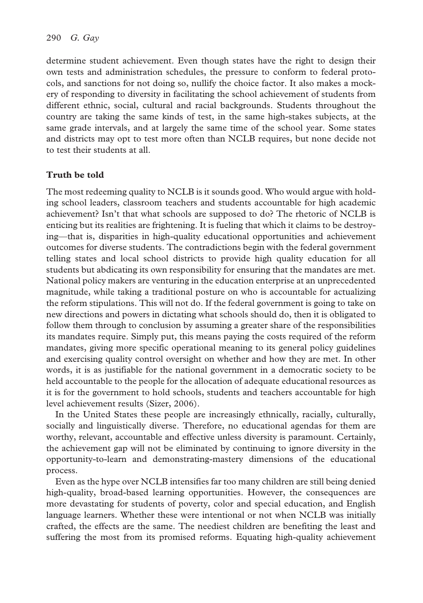determine student achievement. Even though states have the right to design their own tests and administration schedules, the pressure to conform to federal protocols, and sanctions for not doing so, nullify the choice factor. It also makes a mockery of responding to diversity in facilitating the school achievement of students from different ethnic, social, cultural and racial backgrounds. Students throughout the country are taking the same kinds of test, in the same high-stakes subjects, at the same grade intervals, and at largely the same time of the school year. Some states and districts may opt to test more often than NCLB requires, but none decide not to test their students at all.

## **Truth be told**

The most redeeming quality to NCLB is it sounds good. Who would argue with holding school leaders, classroom teachers and students accountable for high academic achievement? Isn't that what schools are supposed to do? The rhetoric of NCLB is enticing but its realities are frightening. It is fueling that which it claims to be destroying—that is, disparities in high-quality educational opportunities and achievement outcomes for diverse students. The contradictions begin with the federal government telling states and local school districts to provide high quality education for all students but abdicating its own responsibility for ensuring that the mandates are met. National policy makers are venturing in the education enterprise at an unprecedented magnitude, while taking a traditional posture on who is accountable for actualizing the reform stipulations. This will not do. If the federal government is going to take on new directions and powers in dictating what schools should do, then it is obligated to follow them through to conclusion by assuming a greater share of the responsibilities its mandates require. Simply put, this means paying the costs required of the reform mandates, giving more specific operational meaning to its general policy guidelines and exercising quality control oversight on whether and how they are met. In other words, it is as justifiable for the national government in a democratic society to be held accountable to the people for the allocation of adequate educational resources as it is for the government to hold schools, students and teachers accountable for high level achievement results (Sizer, 2006).

In the United States these people are increasingly ethnically, racially, culturally, socially and linguistically diverse. Therefore, no educational agendas for them are worthy, relevant, accountable and effective unless diversity is paramount. Certainly, the achievement gap will not be eliminated by continuing to ignore diversity in the opportunity-to-learn and demonstrating-mastery dimensions of the educational process.

Even as the hype over NCLB intensifies far too many children are still being denied high-quality, broad-based learning opportunities. However, the consequences are more devastating for students of poverty, color and special education, and English language learners. Whether these were intentional or not when NCLB was initially crafted, the effects are the same. The neediest children are benefiting the least and suffering the most from its promised reforms. Equating high-quality achievement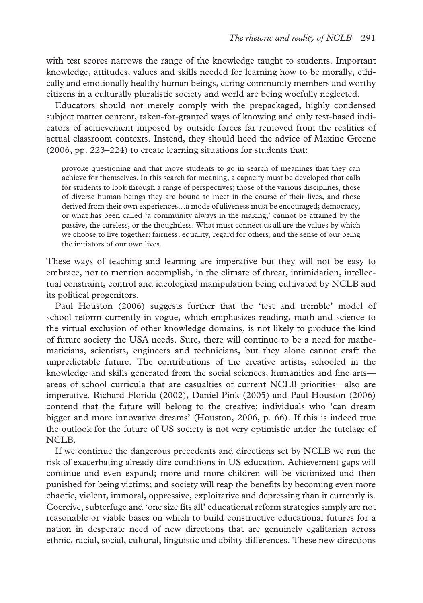with test scores narrows the range of the knowledge taught to students. Important knowledge, attitudes, values and skills needed for learning how to be morally, ethically and emotionally healthy human beings, caring community members and worthy citizens in a culturally pluralistic society and world are being woefully neglected.

Educators should not merely comply with the prepackaged, highly condensed subject matter content, taken-for-granted ways of knowing and only test-based indicators of achievement imposed by outside forces far removed from the realities of actual classroom contexts. Instead, they should heed the advice of Maxine Greene (2006, pp. 223–224) to create learning situations for students that:

provoke questioning and that move students to go in search of meanings that they can achieve for themselves. In this search for meaning, a capacity must be developed that calls for students to look through a range of perspectives; those of the various disciplines, those of diverse human beings they are bound to meet in the course of their lives, and those derived from their own experiences…a mode of aliveness must be encouraged; democracy, or what has been called 'a community always in the making,' cannot be attained by the passive, the careless, or the thoughtless. What must connect us all are the values by which we choose to live together: fairness, equality, regard for others, and the sense of our being the initiators of our own lives.

These ways of teaching and learning are imperative but they will not be easy to embrace, not to mention accomplish, in the climate of threat, intimidation, intellectual constraint, control and ideological manipulation being cultivated by NCLB and its political progenitors.

Paul Houston (2006) suggests further that the 'test and tremble' model of school reform currently in vogue, which emphasizes reading, math and science to the virtual exclusion of other knowledge domains, is not likely to produce the kind of future society the USA needs. Sure, there will continue to be a need for mathematicians, scientists, engineers and technicians, but they alone cannot craft the unpredictable future. The contributions of the creative artists, schooled in the knowledge and skills generated from the social sciences, humanities and fine arts areas of school curricula that are casualties of current NCLB priorities—also are imperative. Richard Florida (2002), Daniel Pink (2005) and Paul Houston (2006) contend that the future will belong to the creative; individuals who 'can dream bigger and more innovative dreams' (Houston, 2006, p. 66). If this is indeed true the outlook for the future of US society is not very optimistic under the tutelage of NCLB.

If we continue the dangerous precedents and directions set by NCLB we run the risk of exacerbating already dire conditions in US education. Achievement gaps will continue and even expand; more and more children will be victimized and then punished for being victims; and society will reap the benefits by becoming even more chaotic, violent, immoral, oppressive, exploitative and depressing than it currently is. Coercive, subterfuge and 'one size fits all' educational reform strategies simply are not reasonable or viable bases on which to build constructive educational futures for a nation in desperate need of new directions that are genuinely egalitarian across ethnic, racial, social, cultural, linguistic and ability differences. These new directions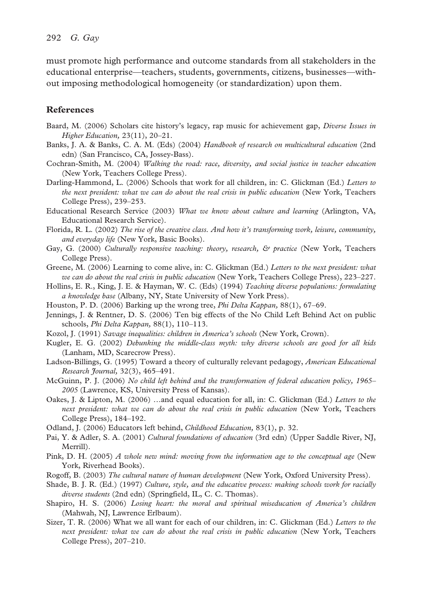must promote high performance and outcome standards from all stakeholders in the educational enterprise—teachers, students, governments, citizens, businesses—without imposing methodological homogeneity (or standardization) upon them.

#### **References**

- Baard, M. (2006) Scholars cite history's legacy, rap music for achievement gap, *Diverse Issues in Higher Education,* 23(11), 20–21.
- Banks, J. A. & Banks, C. A. M. (Eds) (2004) *Handbook of research on multicultural education* (2nd edn) (San Francisco, CA, Jossey-Bass).
- Cochran-Smith, M. (2004) *Walking the road: race, diversity, and social justice in teacher education* (New York, Teachers College Press).
- Darling-Hammond, L. (2006) Schools that work for all children, in: C. Glickman (Ed.) *Letters to the next president: what we can do about the real crisis in public education* (New York, Teachers College Press), 239–253.
- Educational Research Service (2003) *What we know about culture and learning* (Arlington, VA, Educational Research Service).
- Florida, R. L. (2002) *The rise of the creative class. And how it's transforming work, leisure, community, and everyday life* (New York, Basic Books).
- Gay, G. (2000) *Culturally responsive teaching: theory, research, & practice* (New York, Teachers College Press).
- Greene, M. (2006) Learning to come alive, in: C. Glickman (Ed.) *Letters to the next president: what we can do about the real crisis in public education* (New York, Teachers College Press), 223–227.
- Hollins, E. R., King, J. E. & Hayman, W. C. (Eds) (1994) *Teaching diverse populations: formulating a knowledge base* (Albany, NY, State University of New York Press).
- Houston, P. D. (2006) Barking up the wrong tree, *Phi Delta Kappan,* 88(1), 67–69.
- Jennings, J. & Rentner, D. S. (2006) Ten big effects of the No Child Left Behind Act on public schools, *Phi Delta Kappan,* 88(1), 110–113.
- Kozol, J. (1991) *Savage inequalities: children in America's schools* (New York, Crown).
- Kugler, E. G. (2002) *Debunking the middle-class myth: why diverse schools are good for all kids* (Lanham, MD, Scarecrow Press).
- Ladson-Billings, G. (1995) Toward a theory of culturally relevant pedagogy, *American Educational Research Journal,* 32(3), 465–491.
- McGuinn, P. J. (2006) *No child left behind and the transformation of federal education policy, 1965– 2005* (Lawrence, KS, University Press of Kansas).
- Oakes, J. & Lipton, M. (2006) …and equal education for all, in: C. Glickman (Ed.) *Letters to the next president: what we can do about the real crisis in public education* (New York, Teachers College Press), 184–192.
- Odland, J. (2006) Educators left behind, *Childhood Education,* 83(1), p. 32.
- Pai, Y. & Adler, S. A. (2001) *Cultural foundations of education* (3rd edn) (Upper Saddle River, NJ, Merrill).
- Pink, D. H. (2005) *A whole new mind: moving from the information age to the conceptual age* (New York, Riverhead Books).
- Rogoff, B. (2003) *The cultural nature of human development* (New York, Oxford University Press).
- Shade, B. J. R. (Ed.) (1997) *Culture, style, and the educative process: making schools work for racially diverse students* (2nd edn) (Springfield, IL, C. C. Thomas).
- Shapiro, H. S. (2006) *Losing heart: the moral and spiritual miseducation of America's children* (Mahwah, NJ, Lawrence Erlbaum).
- Sizer, T. R. (2006) What we all want for each of our children, in: C. Glickman (Ed.) *Letters to the next president: what we can do about the real crisis in public education* (New York, Teachers College Press), 207–210.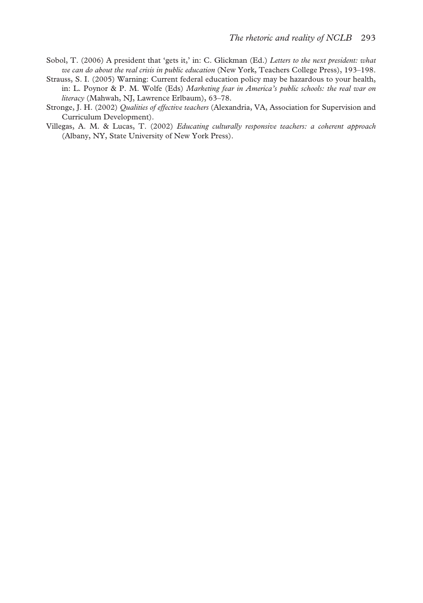- Sobol, T. (2006) A president that 'gets it,' in: C. Glickman (Ed.) *Letters to the next president: what we can do about the real crisis in public education* (New York, Teachers College Press), 193–198.
- Strauss, S. I. (2005) Warning: Current federal education policy may be hazardous to your health, in: L. Poynor & P. M. Wolfe (Eds) *Marketing fear in America's public schools: the real war on literacy* (Mahwah, NJ, Lawrence Erlbaum), 63–78.
- Stronge, J. H. (2002) *Qualities of effective teachers* (Alexandria, VA, Association for Supervision and Curriculum Development).
- Villegas, A. M. & Lucas, T. (2002) *Educating culturally responsive teachers: a coherent approach* (Albany, NY, State University of New York Press).